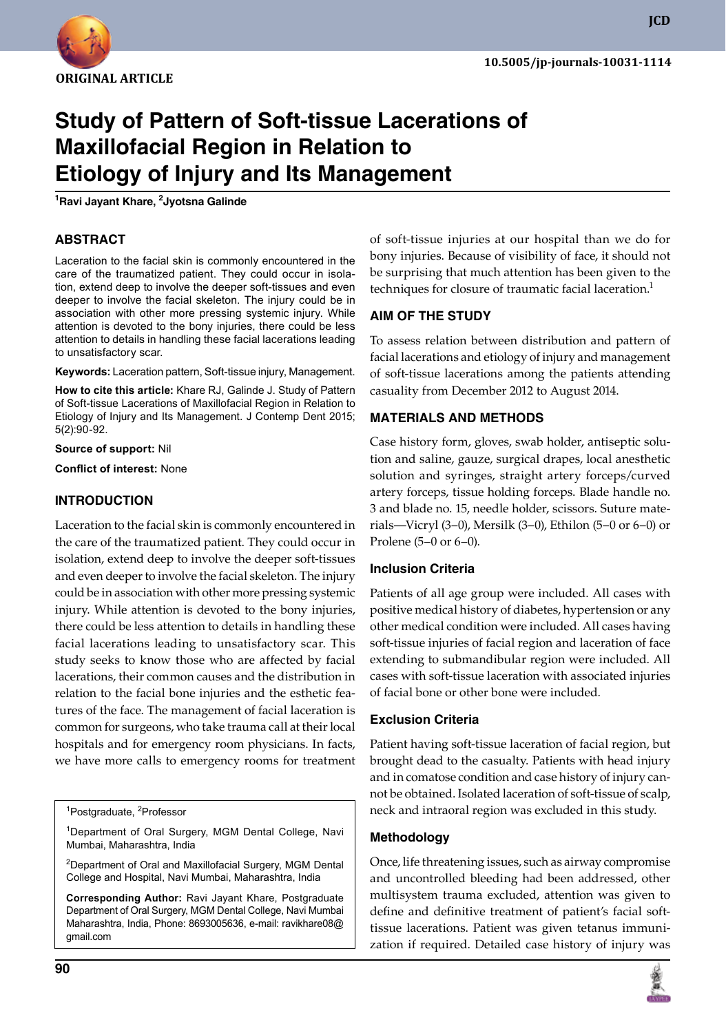

# **Study of Pattern of Soft-tissue Lacerations of Maxillofacial Region in Relation to Etiology of Injury and its Management 1**

**Ravi Jayant Khare, 2 Jyotsna Galinde**

# **ABSTRACT**

Laceration to the facial skin is commonly encountered in the care of the traumatized patient. They could occur in isolation, extend deep to involve the deeper soft-tissues and even deeper to involve the facial skeleton. The injury could be in association with other more pressing systemic injury. While attention is devoted to the bony injuries, there could be less attention to details in handling these facial lacerations leading to unsatisfactory scar.

**Keywords:** laceration pattern, Soft-tissue injury, Management.

**How to cite this article:** Khare RJ, Galinde J. Study of Pattern of Soft-tissue Lacerations of Maxillofacial Region in Relation to Etiology of Injury and its Management. J Contemp Dent 2015; 5(2):90-92.

**Source of support:** Nil

**Conflict of interest:** None

# **Introduction**

Laceration to the facial skin is commonly encountered in the care of the traumatized patient. They could occur in isolation, extend deep to involve the deeper soft-tissues and even deeper to involve the facial skeleton. The injury could be in association with other more pressing systemic injury. While attention is devoted to the bony injuries, there could be less attention to details in handling these facial lacerations leading to unsatisfactory scar. This study seeks to know those who are affected by facial lacerations, their common causes and the distribution in relation to the facial bone injuries and the esthetic features of the face. The management of facial laceration is common for surgeons, who take trauma call at their local hospitals and for emergency room physicians. In facts, we have more calls to emergency rooms for treatment

<sup>1</sup>Postgraduate, <sup>2</sup>Professor

<sup>1</sup>Department of Oral Surgery, MGM Dental College, Navi Mumbai, Maharashtra, India

<sup>2</sup>Department of Oral and Maxillofacial Surgery, MGM Dental College and Hospital, Navi Mumbai, Maharashtra, India

**Corresponding Author:** Ravi Jayant Khare, Postgraduate Department of Oral Surgery, MGM Dental College, Navi Mumbai Maharashtra, India, Phone: 8693005636, e-mail: ravikhare08@ gmail.com

of soft-tissue injuries at our hospital than we do for bony injuries. Because of visibility of face, it should not be surprising that much attention has been given to the techniques for closure of traumatic facial laceration.<sup>1</sup>

#### **Aim of the Study**

To assess relation between distribution and pattern of facial lacerations and etiology of injury and management of soft-tissue lacerations among the patients attending casuality from December 2012 to August 2014.

## **Materials and Methods**

Case history form, gloves, swab holder, antiseptic solution and saline, gauze, surgical drapes, local anesthetic solution and syringes, straight artery forceps/curved artery forceps, tissue holding forceps. Blade handle no. 3 and blade no. 15, needle holder, scissors. Suture materials—Vicryl (3–0), Mersilk (3–0), Ethilon (5–0 or 6–0) or Prolene (5–0 or 6–0).

## **Inclusion Criteria**

Patients of all age group were included. All cases with positive medical history of diabetes, hypertension or any other medical condition were included. All cases having soft-tissue injuries of facial region and laceration of face extending to submandibular region were included. All cases with soft-tissue laceration with associated injuries of facial bone or other bone were included.

## **Exclusion Criteria**

Patient having soft-tissue laceration of facial region, but brought dead to the casualty. Patients with head injury and in comatose condition and case history of injury cannot be obtained. Isolated laceration of soft-tissue of scalp, neck and intraoral region was excluded in this study.

## **Methodology**

Once, life threatening issues, such as airway compromise and uncontrolled bleeding had been addressed, other multisystem trauma excluded, attention was given to define and definitive treatment of patient's facial softtissue lacerations. Patient was given tetanus immunization if required. Detailed case history of injury was

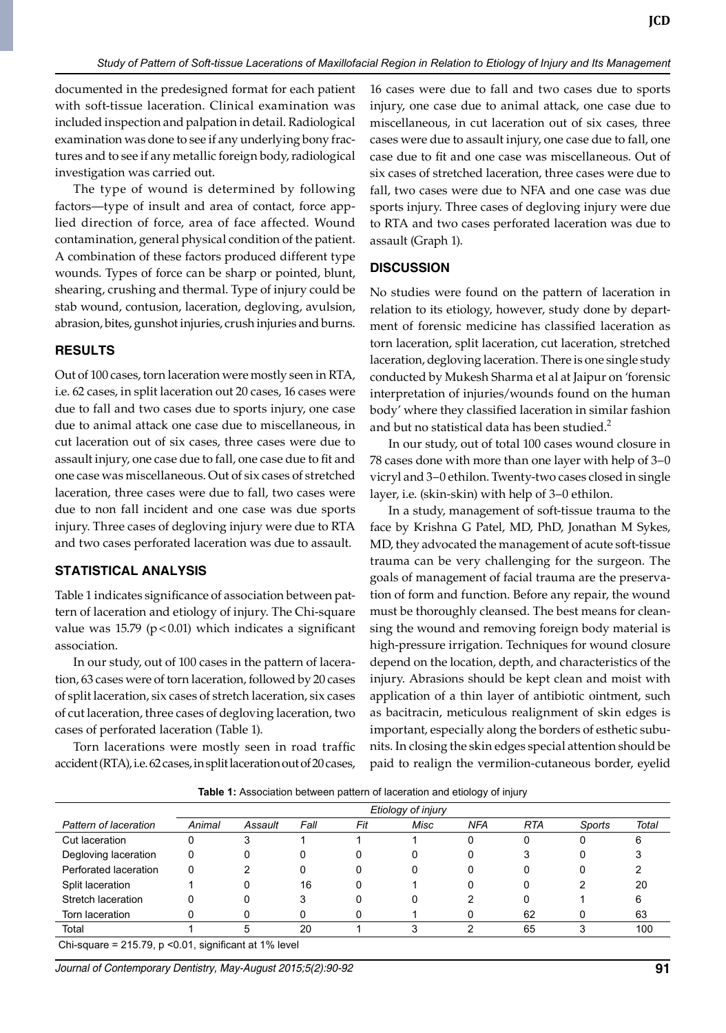documented in the predesigned format for each patient with soft-tissue laceration. Clinical examination was included inspection and palpation in detail. Radiological examination was done to see if any underlying bony fractures and to see if any metallic foreign body, radiological investigation was carried out.

The type of wound is determined by following factors—type of insult and area of contact, force applied direction of force, area of face affected. Wound contamination, general physical condition of the patient. A combination of these factors produced different type wounds. Types of force can be sharp or pointed, blunt, shearing, crushing and thermal. Type of injury could be stab wound, contusion, laceration, degloving, avulsion, abrasion, bites, gunshot injuries, crush injuries and burns.

#### **Results**

Out of 100 cases, torn laceration were mostly seen in RTA, i.e. 62 cases, in split laceration out 20 cases, 16 cases were due to fall and two cases due to sports injury, one case due to animal attack one case due to miscellaneous, in cut laceration out of six cases, three cases were due to assault injury, one case due to fall, one case due to fit and one case was miscellaneous. Out of six cases of stretched laceration, three cases were due to fall, two cases were due to non fall incident and one case was due sports injury. Three cases of degloving injury were due to RTA and two cases perforated laceration was due to assault.

#### **Statistical Analysis**

Table 1 indicates significance of association between pattern of laceration and etiology of injury. The Chi-square value was 15.79 ( $p$ <0.01) which indicates a significant association.

In our study, out of 100 cases in the pattern of laceration, 63 cases were of torn laceration, followed by 20 cases of split laceration, six cases of stretch laceration, six cases of cut laceration, three cases of degloving laceration, two cases of perforated laceration (Table 1).

Torn lacerations were mostly seen in road traffic accident (RTA), i.e. 62 cases, in split laceration out of 20 cases,

16 cases were due to fall and two cases due to sports injury, one case due to animal attack, one case due to miscellaneous, in cut laceration out of six cases, three cases were due to assault injury, one case due to fall, one case due to fit and one case was miscellaneous. Out of six cases of stretched laceration, three cases were due to fall, two cases were due to NFA and one case was due sports injury. Three cases of degloving injury were due to RTA and two cases perforated laceration was due to assault (Graph 1).

#### **Discussion**

No studies were found on the pattern of laceration in relation to its etiology, however, study done by department of forensic medicine has classified laceration as torn laceration, split laceration, cut laceration, stretched laceration, degloving laceration. There is one single study conducted by Mukesh Sharma et al at Jaipur on 'forensic interpretation of injuries/wounds found on the human body' where they classified laceration in similar fashion and but no statistical data has been studied. $2$ 

In our study, out of total 100 cases wound closure in 78 cases done with more than one layer with help of 3–0 vicryl and 3–0 ethilon. Twenty-two cases closed in single layer, i.e. (skin-skin) with help of 3–0 ethilon.

In a study, management of soft-tissue trauma to the face by Krishna G Patel, MD, PhD, Jonathan M Sykes, MD, they advocated the management of acute soft-tissue trauma can be very challenging for the surgeon. The goals of management of facial trauma are the preservation of form and function. Before any repair, the wound must be thoroughly cleansed. The best means for cleansing the wound and removing foreign body material is high-pressure irrigation. Techniques for wound closure depend on the location, depth, and characteristics of the injury. Abrasions should be kept clean and moist with application of a thin layer of antibiotic ointment, such as bacitracin, meticulous realignment of skin edges is important, especially along the borders of esthetic subunits. In closing the skin edges special attention should be paid to realign the vermilion-cutaneous border, eyelid

|                                                                           | Etiology of injury |         |      |     |      |            |            |        |       |
|---------------------------------------------------------------------------|--------------------|---------|------|-----|------|------------|------------|--------|-------|
| Pattern of laceration                                                     | Animal             | Assault | Fall | Fit | Misc | <b>NFA</b> | <b>RTA</b> | Sports | Total |
| Cut laceration                                                            | O                  |         |      |     |      | 0          |            |        | h     |
| Degloving laceration                                                      | 0                  | 0       |      |     |      | 0          |            |        |       |
| Perforated laceration                                                     | 0                  |         |      |     |      | 0          |            |        |       |
| Split laceration                                                          |                    |         | 16   |     |      | 0          |            |        | 20    |
| Stretch laceration                                                        |                    | 0       |      |     |      | າ          |            |        | 6     |
| Torn laceration                                                           |                    |         |      |     |      |            | 62         |        | 63    |
| Total                                                                     |                    | 5       | 20   |     |      |            | 65         | ົ      | 100   |
| $O_{\rm b}$ ; cause = $O_{\rm d}E$ 70 is $20.04$ clasificant of 40/ lough |                    |         |      |     |      |            |            |        |       |

**Table 1:** Association between pattern of laceration and etiology of injury

Chi-square = 215.79, p <0.01, significant at 1% level

*Journal of Contemporary Dentistry, May-August 2015;5(2):90-92* **91**